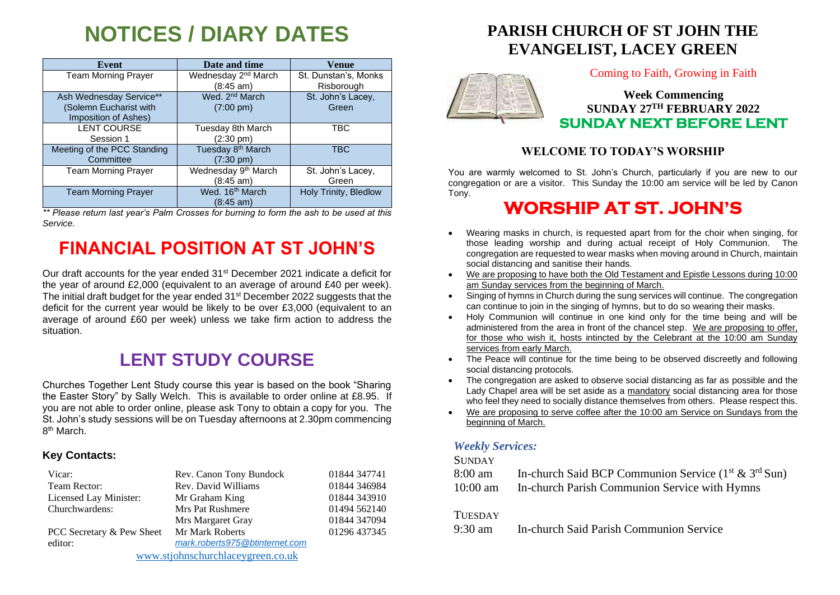# **NOTICES / DIARY DATES**

| Event                                                                     | Date and time                                        | Venue                              |
|---------------------------------------------------------------------------|------------------------------------------------------|------------------------------------|
| <b>Team Morning Prayer</b>                                                | Wednesday 2 <sup>nd</sup> March<br>(8:45 am)         | St. Dunstan's, Monks<br>Risborough |
| Ash Wednesday Service**<br>(Solemn Eucharist with<br>Imposition of Ashes) | Wed. 2 <sup>nd</sup> March<br>$(7:00 \text{ pm})$    | St. John's Lacey,<br>Green         |
| <b>LENT COURSE</b><br>Session 1                                           | Tuesday 8th March<br>(2:30 pm)                       | TBC                                |
| Meeting of the PCC Standing<br>Committee                                  | Tuesday 8 <sup>th</sup> March<br>$(7:30 \text{ pm})$ | <b>TBC</b>                         |
| <b>Team Morning Prayer</b>                                                | Wednesday 9 <sup>th</sup> March<br>(8:45 am)         | St. John's Lacey,<br>Green         |
| <b>Team Morning Prayer</b>                                                | Wed. 16 <sup>th</sup> March<br>(8:45 am)             | Holy Trinity, Bledlow              |

*\*\* Please return last year's Palm Crosses for burning to form the ash to be used at this Service.*

## **FINANCIAL POSITION AT ST JOHN'S**

Our draft accounts for the year ended 31<sup>st</sup> December 2021 indicate a deficit for the year of around £2,000 (equivalent to an average of around £40 per week). The initial draft budget for the year ended 31st December 2022 suggests that the deficit for the current year would be likely to be over £3,000 (equivalent to an average of around £60 per week) unless we take firm action to address the situation.

## **LENT STUDY COURSE**

Churches Together Lent Study course this year is based on the book "Sharing the Easter Story" by Sally Welch. This is available to order online at £8.95. If you are not able to order online, please ask Tony to obtain a copy for you. The St. John's study sessions will be on Tuesday afternoons at 2.30pm commencing 8<sup>th</sup> March.

#### **Key Contacts:**

| Vicar:                            | Rev. Canon Tony Bundock        | 01844 347741 |
|-----------------------------------|--------------------------------|--------------|
| Team Rector:                      | Rev. David Williams            | 01844 346984 |
| Licensed Lay Minister:            | Mr Graham King                 | 01844 343910 |
| Churchwardens:                    | <b>Mrs Pat Rushmere</b>        | 01494 562140 |
|                                   | Mrs Margaret Gray              | 01844 347094 |
| PCC Secretary & Pew Sheet         | Mr Mark Roberts                | 01296 437345 |
| editor:                           | mark.roberts975@btinternet.com |              |
| www.stjohnschurchlaceygreen.co.uk |                                |              |

## **PARISH CHURCH OF ST JOHN THE EVANGELIST, LACEY GREEN**



Coming to Faith, Growing in Faith

### **Week Commencing SUNDAY 27 TH FEBRUARY 2022 SUNDAY NEXT BEFORE LENT**

#### **WELCOME TO TODAY'S WORSHIP**

You are warmly welcomed to St. John's Church, particularly if you are new to our congregation or are a visitor. This Sunday the 10:00 am service will be led by Canon Tony.

## **WORSHIP AT ST. JOHN'S**

- Wearing masks in church, is requested apart from for the choir when singing, for those leading worship and during actual receipt of Holy Communion. The congregation are requested to wear masks when moving around in Church, maintain social distancing and sanitise their hands.
- We are proposing to have both the Old Testament and Epistle Lessons during 10:00 am Sunday services from the beginning of March.
- Singing of hymns in Church during the sung services will continue. The congregation can continue to join in the singing of hymns, but to do so wearing their masks.
- Holy Communion will continue in one kind only for the time being and will be administered from the area in front of the chancel step. We are proposing to offer, for those who wish it, hosts intincted by the Celebrant at the 10:00 am Sunday services from early March.
- The Peace will continue for the time being to be observed discreetly and following social distancing protocols.
- The congregation are asked to observe social distancing as far as possible and the Lady Chapel area will be set aside as a mandatory social distancing area for those who feel they need to socially distance themselves from others. Please respect this.
- We are proposing to serve coffee after the 10:00 am Service on Sundays from the beginning of March.

#### *Weekly Services:*

#### **SUNDAY**

| 8:00 am    | In-church Said BCP Communion Service $(1^{st} \& 3^{rd} Sun)$ |
|------------|---------------------------------------------------------------|
| $10:00$ am | In-church Parish Communion Service with Hymns                 |

#### **TUESDAY**

9:30 am In-church Said Parish Communion Service